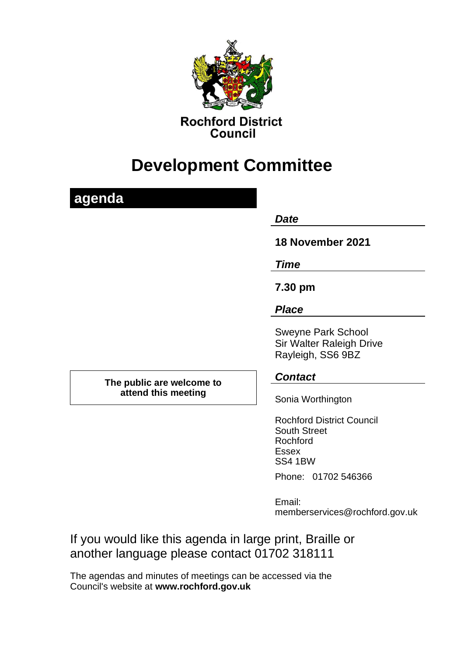

# **Development Committee**

## **agenda**

#### *Date*

**18 November 2021**

*Time*

**7.30 pm**

### *Place*

Sweyne Park School Sir Walter Raleigh Drive Rayleigh, SS6 9BZ

**The public are welcome to attend this meeting**

### *Contact*

Sonia Worthington

Rochford District Council South Street Rochford Essex SS4 1BW Phone: 01702 546366

Email: memberservices@rochford.gov.uk

If you would like this agenda in large print, Braille or another language please contact 01702 318111

The agendas and minutes of meetings can be accessed via the Council's website at **[www.rochford.gov.uk](http://www.rochford.gov.uk/)**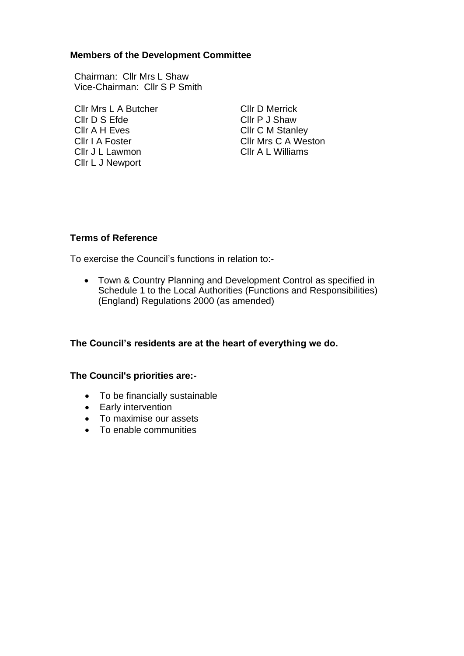#### **Members of the Development Committee**

Chairman: Cllr Mrs L Shaw Vice-Chairman: Cllr S P Smith

Cllr Mrs L A Butcher Cllr D Merrick Cllr D S Efde Cllr P J Shaw Cllr A H Eves Cllr C M Stanley Cllr I A Foster Cllr Mrs C A Weston<br>Cllr J Ll awmon Cllr A L Williams Cllr J L Lawmon Cllr L J Newport

#### **Terms of Reference**

To exercise the Council's functions in relation to:-

• Town & Country Planning and Development Control as specified in Schedule 1 to the Local Authorities (Functions and Responsibilities) (England) Regulations 2000 (as amended)

#### **The Council's residents are at the heart of everything we do.**

#### **The Council's priorities are:-**

- To be financially sustainable
- Early intervention
- To maximise our assets
- To enable communities